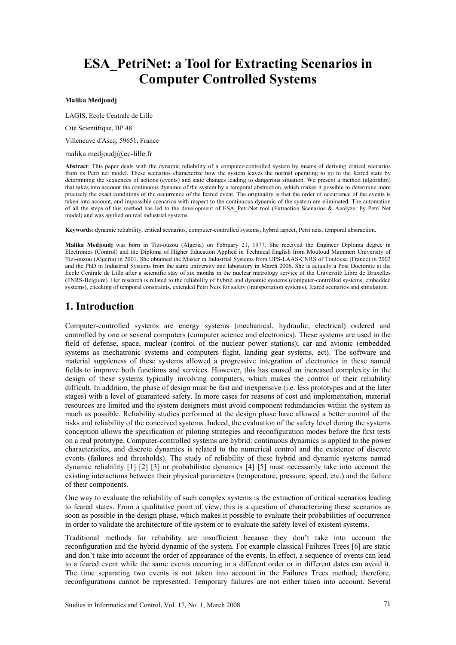# **ESA\_PetriNet: a Tool for Extracting Scenarios in Computer Controlled Systems**

#### **Malika Medjoudj**

LAGIS, Ecole Centrale de Lille

Cité Scientifique, BP 48

Villeneuve d'Ascq, 59651, France

#### malika.medjoudj@ec-lille.fr

**Abstract**: This paper deals with the dynamic reliability of a computer-controlled system by means of deriving critical scenarios from its Petri net model. These scenarios characterize how the system leaves the normal operating to go to the feared state by determining the sequences of actions (events) and state changes leading to dangerous situation. We present a method (algorithm) that takes into account the continuous dynamic of the system by a temporal abstraction, which makes it possible to determine more precisely the exact conditions of the occurrence of the feared event. The originality is that the order of occurrence of the events is taken into account, and impossible scenarios with respect to the continuous dynamic of the system are eliminated. The automation of all the steps of this method has led to the development of ESA\_PetriNet tool (Extraction Scenarios & Analyzer by Petri Net model) and was applied on real industrial systems.

**Keywords**: dynamic reliability, critical scenarios, computer-controlled systems, hybrid aspect, Petri nets, temporal abstraction.

**Malika Medjoudj** was born in Tizi-ouzou (Algeria) on February 21, 1977. She received the Engineer Diploma degree in Electronics (Control) and the Diploma of Higher Education Applied in Technical English from Mouloud Mammeri University of Tizi-ouzou (Algeria) in 2001. She obtained the Master in Industrial Systems from UPS-LAAS-CNRS of Toulouse (France) in 2002 and the PhD in Industrial Systems from the same university and laboratory in March 2006. She is actually a Post Doctorate at the Ecole Centrale de Lille after a scientific stay of six months in the nuclear metrology service of the Université Libre de Bruxelles (FNRS-Belgium). Her research is related to the reliability of hybrid and dynamic systems (computer-controlled systems, embedded systems), checking of temporal constraints, extended Petri Nets for safety (transportation systems), feared scenarios and simulation.

## **1. Introduction**

Computer-controlled systems are energy systems (mechanical, hydraulic, electrical) ordered and controlled by one or several computers (computer science and electronics). These systems are used in the field of defense, space, nuclear (control of the nuclear power stations); car and avionic (embedded systems as mechatronic systems and computers flight, landing gear systems, ect). The software and material suppleness of these systems allowed a progressive integration of electronics in these named fields to improve both functions and services. However, this has caused an increased complexity in the design of these systems typically involving computers, which makes the control of their reliability difficult. In addition, the phase of design must be fast and inexpensive (i.e. less prototypes and at the later stages) with a level of guaranteed safety. In more cases for reasons of cost and implementation, material resources are limited and the system designers must avoid component redundancies within the system as much as possible. Reliability studies performed at the design phase have allowed a better control of the risks and reliability of the conceived systems. Indeed, the evaluation of the safety level during the systems conception allows the specification of piloting strategies and reconfiguration modes before the first tests on a real prototype. Computer-controlled systems are hybrid: continuous dynamics is applied to the power characteristics, and discrete dynamics is related to the numerical control and the existence of discrete events (failures and thresholds). The study of reliability of these hybrid and dynamic systems named dynamic reliability [1] [2] [3] or probabilistic dynamics [4] [5] must necessarily take into account the existing interactions between their physical parameters (temperature, pressure, speed, etc.) and the failure of their components.

One way to evaluate the reliability of such complex systems is the extraction of critical scenarios leading to feared states. From a qualitative point of view, this is a question of characterizing these scenarios as soon as possible in the design phase, which makes it possible to evaluate their probabilities of occurrence in order to validate the architecture of the system or to evaluate the safety level of existent systems.

Traditional methods for reliability are insufficient because they don't take into account the reconfiguration and the hybrid dynamic of the system. For example classical Failures Trees [6] are static and don't take into account the order of appearance of the events. In effect, a sequence of events can lead to a feared event while the same events occurring in a different order or in different dates can avoid it. The time separating two events is not taken into account in the Failures Trees method; therefore, reconfigurations cannot be represented. Temporary failures are not either taken into account. Several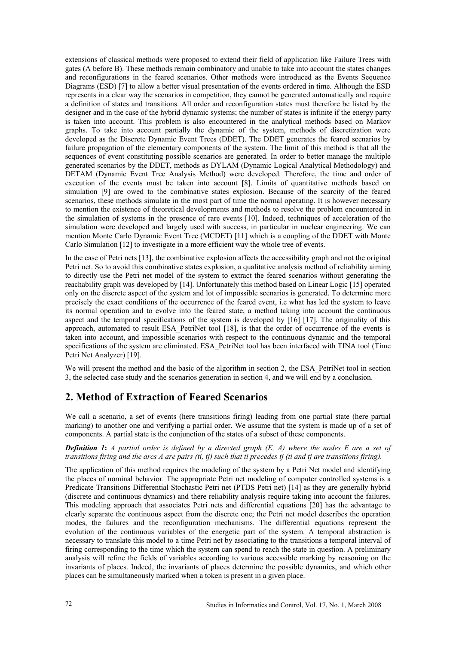extensions of classical methods were proposed to extend their field of application like Failure Trees with gates (A before B). These methods remain combinatory and unable to take into account the states changes and reconfigurations in the feared scenarios. Other methods were introduced as the Events Sequence Diagrams (ESD) [7] to allow a better visual presentation of the events ordered in time. Although the ESD represents in a clear way the scenarios in competition, they cannot be generated automatically and require a definition of states and transitions. All order and reconfiguration states must therefore be listed by the designer and in the case of the hybrid dynamic systems; the number of states is infinite if the energy party is taken into account. This problem is also encountered in the analytical methods based on Markov graphs. To take into account partially the dynamic of the system, methods of discretization were developed as the Discrete Dynamic Event Trees (DDET). The DDET generates the feared scenarios by failure propagation of the elementary components of the system. The limit of this method is that all the sequences of event constituting possible scenarios are generated. In order to better manage the multiple generated scenarios by the DDET, methods as DYLAM (Dynamic Logical Analytical Methodology) and DETAM (Dynamic Event Tree Analysis Method) were developed. Therefore, the time and order of execution of the events must be taken into account [8]. Limits of quantitative methods based on simulation [9] are owed to the combinative states explosion. Because of the scarcity of the feared scenarios, these methods simulate in the most part of time the normal operating. It is however necessary to mention the existence of theoretical developments and methods to resolve the problem encountered in the simulation of systems in the presence of rare events [10]. Indeed, techniques of acceleration of the simulation were developed and largely used with success, in particular in nuclear engineering. We can mention Monte Carlo Dynamic Event Tree (MCDET) [11] which is a coupling of the DDET with Monte Carlo Simulation [12] to investigate in a more efficient way the whole tree of events.

In the case of Petri nets [13], the combinative explosion affects the accessibility graph and not the original Petri net. So to avoid this combinative states explosion, a qualitative analysis method of reliability aiming to directly use the Petri net model of the system to extract the feared scenarios without generating the reachability graph was developed by [14]. Unfortunately this method based on Linear Logic [15] operated only on the discrete aspect of the system and lot of impossible scenarios is generated. To determine more precisely the exact conditions of the occurrence of the feared event, i.e what has led the system to leave its normal operation and to evolve into the feared state, a method taking into account the continuous aspect and the temporal specifications of the system is developed by [16] [17]. The originality of this approach, automated to result ESA\_PetriNet tool [18], is that the order of occurrence of the events is taken into account, and impossible scenarios with respect to the continuous dynamic and the temporal specifications of the system are eliminated. ESA PetriNet tool has been interfaced with TINA tool (Time Petri Net Analyzer) [19].

We will present the method and the basic of the algorithm in section 2, the ESA\_PetriNet tool in section 3, the selected case study and the scenarios generation in section 4, and we will end by a conclusion.

## **2. Method of Extraction of Feared Scenarios**

We call a scenario, a set of events (here transitions firing) leading from one partial state (here partial marking) to another one and verifying a partial order. We assume that the system is made up of a set of components. A partial state is the conjunction of the states of a subset of these components.

#### *Definition 1***:** *A partial order is defined by a directed graph (E, A) where the nodes E are a set of transitions firing and the arcs A are pairs (ti, tj) such that ti precedes tj (ti and tj are transitions firing).*

The application of this method requires the modeling of the system by a Petri Net model and identifying the places of nominal behavior. The appropriate Petri net modeling of computer controlled systems is a Predicate Transitions Differential Stochastic Petri net (PTDS Petri net) [14] as they are generally hybrid (discrete and continuous dynamics) and there reliability analysis require taking into account the failures. This modeling approach that associates Petri nets and differential equations [20] has the advantage to clearly separate the continuous aspect from the discrete one; the Petri net model describes the operation modes, the failures and the reconfiguration mechanisms. The differential equations represent the evolution of the continuous variables of the energetic part of the system. A temporal abstraction is necessary to translate this model to a time Petri net by associating to the transitions a temporal interval of firing corresponding to the time which the system can spend to reach the state in question. A preliminary analysis will refine the fields of variables according to various accessible marking by reasoning on the invariants of places. Indeed, the invariants of places determine the possible dynamics, and which other places can be simultaneously marked when a token is present in a given place.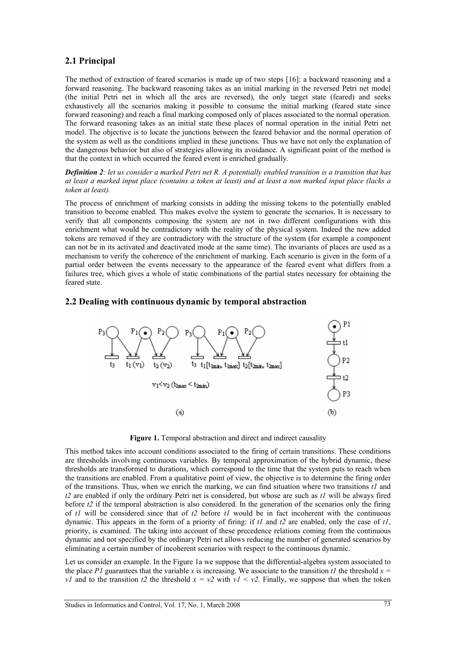## **2.1 Principal**

The method of extraction of feared scenarios is made up of two steps [16]: a backward reasoning and a forward reasoning. The backward reasoning takes as an initial marking in the reversed Petri net model (the initial Petri net in which all the arcs are reversed), the only target state (feared) and seeks exhaustively all the scenarios making it possible to consume the initial marking (feared state since forward reasoning) and reach a final marking composed only of places associated to the normal operation. The forward reasoning takes as an initial state these places of normal operation in the initial Petri net model. The objective is to locate the junctions between the feared behavior and the normal operation of the system as well as the conditions implied in these junctions. Thus we have not only the explanation of the dangerous behavior but also of strategies allowing its avoidance. A significant point of the method is that the context in which occurred the feared event is enriched gradually.

*Definition 2: let us consider a marked Petri net R. A potentially enabled transition is a transition that has at least a marked input place (contains a token at least) and at least a non marked input place (lacks a token at least).* 

The process of enrichment of marking consists in adding the missing tokens to the potentially enabled transition to become enabled. This makes evolve the system to generate the scenarios. It is necessary to verify that all components composing the system are not in two different configurations with this enrichment what would be contradictory with the reality of the physical system. Indeed the new added tokens are removed if they are contradictory with the structure of the system (for example a component can not be in its activated and deactivated mode at the same time). The invariants of places are used as a mechanism to verify the coherence of the enrichment of marking. Each scenario is given in the form of a partial order between the events necessary to the appearance of the feared event what differs from a failures tree, which gives a whole of static combinations of the partial states necessary for obtaining the feared state.

### **2.2 Dealing with continuous dynamic by temporal abstraction**



Figure 1. Temporal abstraction and direct and indirect causality

This method takes into account conditions associated to the firing of certain transitions. These conditions are thresholds involving continuous variables. By temporal approximation of the hybrid dynamic, these thresholds are transformed to durations, which correspond to the time that the system puts to reach when the transitions are enabled. From a qualitative point of view, the objective is to determine the firing order of the transitions. Thus, when we enrich the marking, we can find situation where two transitions *t1* and *t2* are enabled if only the ordinary Petri net is considered, but whose are such as *t1* will be always fired before *t2* if the temporal abstraction is also considered. In the generation of the scenarios only the firing of *t1* will be considered since that of *t2* before *t1* would be in fact incoherent with the continuous dynamic. This appears in the form of a priority of firing: if *t1* and *t2* are enabled, only the case of *t1*, priority, is examined. The taking into account of these precedence relations coming from the continuous dynamic and not specified by the ordinary Petri net allows reducing the number of generated scenarios by eliminating a certain number of incoherent scenarios with respect to the continuous dynamic.

Let us consider an example. In the Figure 1a we suppose that the differential-algebra system associated to the place *P1* guarantees that the variable *x* is increasing. We associate to the transition *t1* the threshold  $x =$ *v1* and to the transition *t2* the threshold  $x = v2$  with  $v1 \le v2$ . Finally, we suppose that when the token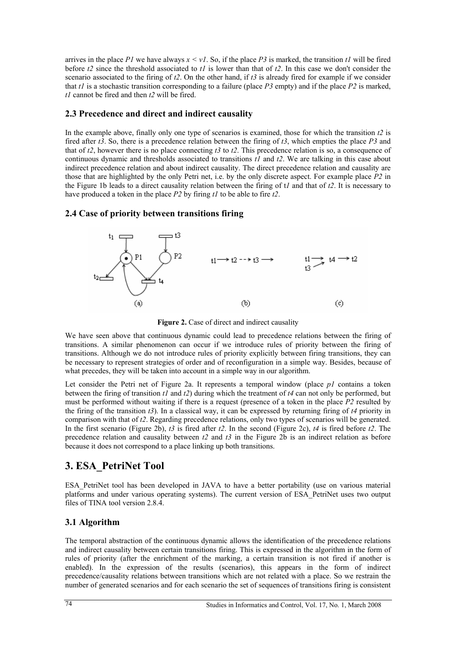arrives in the place  $PI$  we have always  $x \leq vI$ . So, if the place  $P3$  is marked, the transition  $tI$  will be fired before *t2* since the threshold associated to *t1* is lower than that of *t2*. In this case we don't consider the scenario associated to the firing of *t2*. On the other hand, if *t3* is already fired for example if we consider that *t1* is a stochastic transition corresponding to a failure (place *P3* empty) and if the place *P2* is marked, *t1* cannot be fired and then *t2* will be fired.

### **2.3 Precedence and direct and indirect causality**

In the example above, finally only one type of scenarios is examined, those for which the transition *t2* is fired after *t3*. So, there is a precedence relation between the firing of *t3*, which empties the place *P3* and that of *t2*, however there is no place connecting *t3* to *t2*. This precedence relation is so, a consequence of continuous dynamic and thresholds associated to transitions *t1* and *t2*. We are talking in this case about indirect precedence relation and about indirect causality. The direct precedence relation and causality are those that are highlighted by the only Petri net, i.e. by the only discrete aspect. For example place *P2* in the Figure 1b leads to a direct causality relation between the firing of t*1* and that of *t2*. It is necessary to have produced a token in the place *P2* by firing *t1* to be able to fire *t2*.

## **2.4 Case of priority between transitions firing**



Figure 2. Case of direct and indirect causality

We have seen above that continuous dynamic could lead to precedence relations between the firing of transitions. A similar phenomenon can occur if we introduce rules of priority between the firing of transitions. Although we do not introduce rules of priority explicitly between firing transitions, they can be necessary to represent strategies of order and of reconfiguration in a simple way. Besides, because of what precedes, they will be taken into account in a simple way in our algorithm.

Let consider the Petri net of Figure 2a. It represents a temporal window (place *p1* contains a token between the firing of transition *t1* and *t2*) during which the treatment of *t4* can not only be performed, but must be performed without waiting if there is a request (presence of a token in the place *P2* resulted by the firing of the transition *t3*). In a classical way, it can be expressed by returning firing of *t4* priority in comparison with that of *t2*. Regarding precedence relations, only two types of scenarios will be generated. In the first scenario (Figure 2b), *t3* is fired after *t2*. In the second (Figure 2c), *t4* is fired before *t2*. The precedence relation and causality between *t2* and *t3* in the Figure 2b is an indirect relation as before because it does not correspond to a place linking up both transitions.

## **3. ESA\_PetriNet Tool**

ESA\_PetriNet tool has been developed in JAVA to have a better portability (use on various material platforms and under various operating systems). The current version of ESA\_PetriNet uses two output files of TINA tool version 2.8.4.

## **3.1 Algorithm**

The temporal abstraction of the continuous dynamic allows the identification of the precedence relations and indirect causality between certain transitions firing. This is expressed in the algorithm in the form of rules of priority (after the enrichment of the marking, a certain transition is not fired if another is enabled). In the expression of the results (scenarios), this appears in the form of indirect precedence/causality relations between transitions which are not related with a place. So we restrain the number of generated scenarios and for each scenario the set of sequences of transitions firing is consistent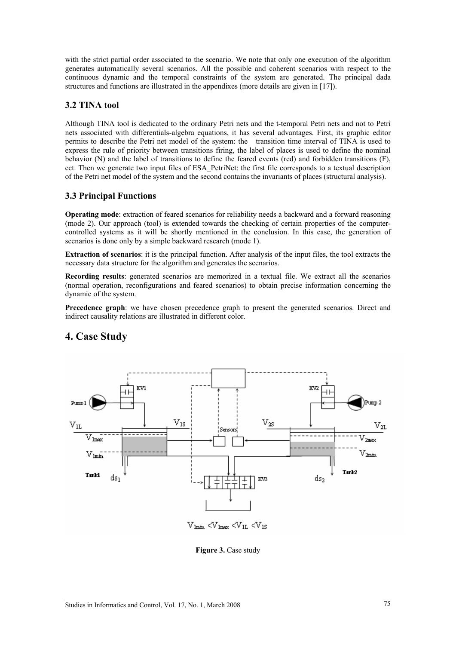with the strict partial order associated to the scenario. We note that only one execution of the algorithm generates automatically several scenarios. All the possible and coherent scenarios with respect to the continuous dynamic and the temporal constraints of the system are generated. The principal dada structures and functions are illustrated in the appendixes (more details are given in [17]).

## **3.2 TINA tool**

Although TINA tool is dedicated to the ordinary Petri nets and the t-temporal Petri nets and not to Petri nets associated with differentials-algebra equations, it has several advantages. First, its graphic editor permits to describe the Petri net model of the system: the transition time interval of TINA is used to express the rule of priority between transitions firing, the label of places is used to define the nominal behavior (N) and the label of transitions to define the feared events (red) and forbidden transitions (F), ect. Then we generate two input files of ESA\_PetriNet: the first file corresponds to a textual description of the Petri net model of the system and the second contains the invariants of places (structural analysis).

## **3.3 Principal Functions**

**Operating mode:** extraction of feared scenarios for reliability needs a backward and a forward reasoning (mode 2). Our approach (tool) is extended towards the checking of certain properties of the computercontrolled systems as it will be shortly mentioned in the conclusion. In this case, the generation of scenarios is done only by a simple backward research (mode 1).

**Extraction of scenarios**: it is the principal function. After analysis of the input files, the tool extracts the necessary data structure for the algorithm and generates the scenarios.

**Recording results**: generated scenarios are memorized in a textual file. We extract all the scenarios (normal operation, reconfigurations and feared scenarios) to obtain precise information concerning the dynamic of the system.

**Precedence graph**: we have chosen precedence graph to present the generated scenarios. Direct and indirect causality relations are illustrated in different color.



## **4. Case Study**

**Figure 3.** Case study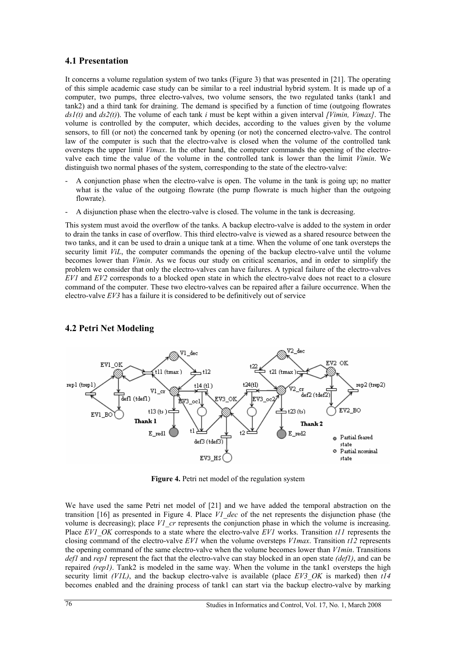### **4.1 Presentation**

It concerns a volume regulation system of two tanks (Figure 3) that was presented in [21]. The operating of this simple academic case study can be similar to a reel industrial hybrid system. It is made up of a computer, two pumps, three electro-valves, two volume sensors, the two regulated tanks (tank1 and tank2) and a third tank for draining. The demand is specified by a function of time (outgoing flowrates *ds1(t)* and *ds2(t)*). The volume of each tank *i* must be kept within a given interval *[Vimin, Vimax]*. The volume is controlled by the computer, which decides, according to the values given by the volume sensors, to fill (or not) the concerned tank by opening (or not) the concerned electro-valve. The control law of the computer is such that the electro-valve is closed when the volume of the controlled tank oversteps the upper limit *Vimax*. In the other hand, the computer commands the opening of the electrovalve each time the value of the volume in the controlled tank is lower than the limit *Vimin*. We distinguish two normal phases of the system, corresponding to the state of the electro-valve:

- A conjunction phase when the electro-valve is open. The volume in the tank is going up; no matter what is the value of the outgoing flowrate (the pump flowrate is much higher than the outgoing flowrate).
- A disjunction phase when the electro-valve is closed. The volume in the tank is decreasing.

This system must avoid the overflow of the tanks. A backup electro-valve is added to the system in order to drain the tanks in case of overflow. This third electro-valve is viewed as a shared resource between the two tanks, and it can be used to drain a unique tank at a time. When the volume of one tank oversteps the security limit *ViL*, the computer commands the opening of the backup electro-valve until the volume becomes lower than *Vimin*. As we focus our study on critical scenarios, and in order to simplify the problem we consider that only the electro-valves can have failures. A typical failure of the electro-valves *EV1* and *EV2* corresponds to a blocked open state in which the electro-valve does not react to a closure command of the computer. These two electro-valves can be repaired after a failure occurrence. When the electro-valve *EV3* has a failure it is considered to be definitively out of service



## **4.2 Petri Net Modeling**

**Figure 4.** Petri net model of the regulation system

We have used the same Petri net model of [21] and we have added the temporal abstraction on the transition [16] as presented in Figure 4. Place *V1\_dec* of the net represents the disjunction phase (the volume is decreasing); place *V1* cr represents the conjunction phase in which the volume is increasing. Place *EV1\_OK* corresponds to a state where the electro-valve *EV1* works. Transition *t11* represents the closing command of the electro-valve *EV1* when the volume oversteps *V1max*. Transition *t12* represents the opening command of the same electro-valve when the volume becomes lower than *V1min*. Transitions *def1* and *rep1* represent the fact that the electro-valve can stay blocked in an open state *(def1)*, and can be repaired *(rep1)*. Tank2 is modeled in the same way. When the volume in the tank1 oversteps the high security limit *(V1L)*, and the backup electro-valve is available (place *EV3\_OK* is marked) then *t14* becomes enabled and the draining process of tank1 can start via the backup electro-valve by marking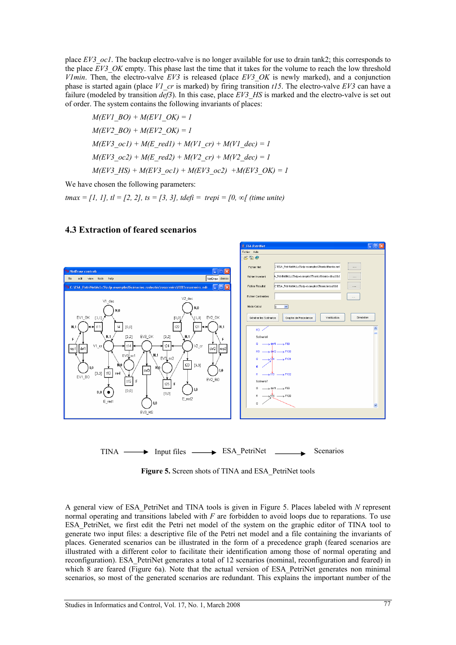place *EV3\_oc1*. The backup electro-valve is no longer available for use to drain tank2; this corresponds to the place *EV3* OK empty. This phase last the time that it takes for the volume to reach the low threshold *V1min*. Then, the electro-valve *EV3* is released (place *EV3\_OK* is newly marked), and a conjunction phase is started again (place *V1\_cr* is marked) by firing transition *t15*. The electro-valve *EV3* can have a failure (modeled by transition *def3*). In this case, place *EV3\_HS* is marked and the electro-valve is set out of order. The system contains the following invariants of places:

*M(EV1\_BO) + M(EV1\_OK) = 1*   $M(EV2~BO) + M(EV2~OK) = 1$  $M(EV3 \text{ ocl}) + M(E \text{ red1}) + M(V1 \text{ cr}) + M(V1 \text{ dec}) = 1$  $M(EV3 \text{ } oc2) + M(E \text{ } red2) + M(V2 \text{ } cr) + M(V2 \text{ } dec) = 1$  $M(EV3 HS) + M(EV3 \text{ ocl}) + M(EV3 \text{ ocl}) + M(EV3 OK) = 1$ 

We have chosen the following parameters:

*tmax = [1, 1], tl = [2, 2], ts = [3, 3], tdefi = trepi = [0, ∞[ (time unite)*

### **4.3 Extraction of feared scenarios**



Figure 5. Screen shots of TINA and ESA\_PetriNet tools

A general view of ESA\_PetriNet and TINA tools is given in Figure 5. Places labeled with *N* represent normal operating and transitions labeled with *F* are forbidden to avoid loops due to reparations. To use ESA PetriNet, we first edit the Petri net model of the system on the graphic editor of TINA tool to generate two input files: a descriptive file of the Petri net model and a file containing the invariants of places. Generated scenarios can be illustrated in the form of a precedence graph (feared scenarios are illustrated with a different color to facilitate their identification among those of normal operating and reconfiguration). ESA\_PetriNet generates a total of 12 scenarios (nominal, reconfiguration and feared) in which 8 are feared (Figure 6a). Note that the actual version of ESA PetriNet generates non minimal scenarios, so most of the generated scenarios are redundant. This explains the important number of the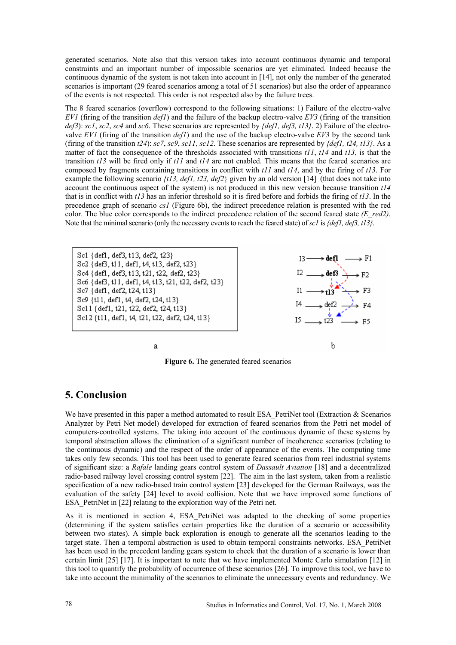generated scenarios. Note also that this version takes into account continuous dynamic and temporal constraints and an important number of impossible scenarios are yet eliminated. Indeed because the continuous dynamic of the system is not taken into account in [14], not only the number of the generated scenarios is important (29 feared scenarios among a total of 51 scenarios) but also the order of appearance of the events is not respected. This order is not respected also by the failure trees.

The 8 feared scenarios (overflow) correspond to the following situations: 1) Failure of the electro-valve *EV1* (firing of the transition *def1*) and the failure of the backup electro-valve *EV3* (firing of the transition *def3*): *sc1*, *sc2*, *sc4* and *sc6*. These scenarios are represented by *{def1, def3, t13}*. 2) Failure of the electrovalve *EV1* (firing of the transition *def1*) and the use of the backup electro-valve *EV3* by the second tank (firing of the transition  $t24$ ):  $sc7$ ,  $sc9$ ,  $sc11$ ,  $sc12$ . These scenarios are represented by  $\{def1, t24, t13\}$ . As a matter of fact the consequence of the thresholds associated with transitions *t11*, *t14* and *t13*, is that the transition *t13* will be fired only if *t11* and *t14* are not enabled. This means that the feared scenarios are composed by fragments containing transitions in conflict with *t11* and *t14*, and by the firing of *t13*. For example the following scenario *{t13, def1, t23, def2*} given by an old version [14] (that does not take into account the continuous aspect of the system) is not produced in this new version because transition *t14* that is in conflict with *t13* has an inferior threshold so it is fired before and forbids the firing of *t13*. In the precedence graph of scenario *cs1* (Figure 6b), the indirect precedence relation is presented with the red color. The blue color corresponds to the indirect precedence relation of the second feared state *(E\_red2)*. Note that the minimal scenario (only the necessary events to reach the feared state) of *sc1* is *{def1, def3, t13}*.

Sc1 {def1, def3, t13, def2, t23} Sc2 (def3, t11, def1, t4, t13, def2, t23) Sc4 {def1, def3, t13, t21, t22, def2, t23} Sc6 {def3, t11, def1, t4, t13, t21, t22, def2, t23} Sc7 {def1, def2, t24, t13} Sc9 {t11, def1, t4, def2, t24, t13} Sc11 {def1, t21, t22, def2, t24, t13} Sc12 {t11, def1, t4, t21, t22, def2, t24, t13}

ā



**Figure 6.** The generated feared scenarios

## **5. Conclusion**

We have presented in this paper a method automated to result ESA\_PetriNet tool (Extraction  $&$  Scenarios Analyzer by Petri Net model) developed for extraction of feared scenarios from the Petri net model of computers-controlled systems. The taking into account of the continuous dynamic of these systems by temporal abstraction allows the elimination of a significant number of incoherence scenarios (relating to the continuous dynamic) and the respect of the order of appearance of the events. The computing time takes only few seconds. This tool has been used to generate feared scenarios from reel industrial systems of significant size: a *Rafale* landing gears control system of *Dassault Aviation* [18] and a decentralized radio-based railway level crossing control system [22]. The aim in the last system, taken from a realistic specification of a new radio-based train control system [23] developed for the German Railways, was the evaluation of the safety [24] level to avoid collision. Note that we have improved some functions of ESA PetriNet in [22] relating to the exploration way of the Petri net.

As it is mentioned in section 4, ESA\_PetriNet was adapted to the checking of some properties (determining if the system satisfies certain properties like the duration of a scenario or accessibility between two states). A simple back exploration is enough to generate all the scenarios leading to the target state. Then a temporal abstraction is used to obtain temporal constraints networks. ESA\_PetriNet has been used in the precedent landing gears system to check that the duration of a scenario is lower than certain limit [25] [17]. It is important to note that we have implemented Monte Carlo simulation [12] in this tool to quantify the probability of occurrence of these scenarios [26]. To improve this tool, we have to take into account the minimality of the scenarios to eliminate the unnecessary events and redundancy. We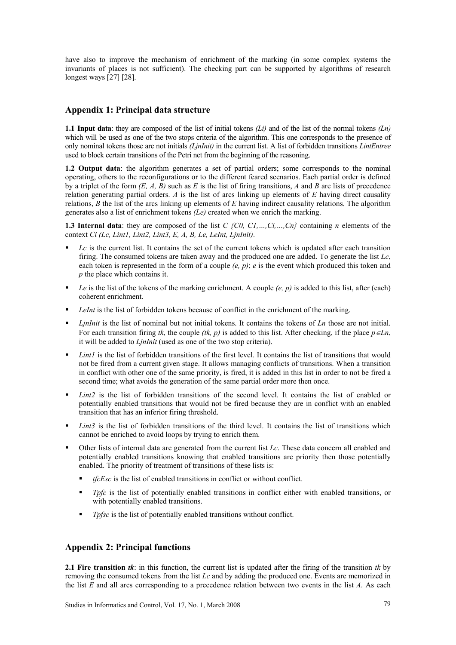have also to improve the mechanism of enrichment of the marking (in some complex systems the invariants of places is not sufficient). The checking part can be supported by algorithms of research longest ways [27] [28].

## **Appendix 1: Principal data structure**

**1.1 Input data**: they are composed of the list of initial tokens *(Li)* and of the list of the normal tokens *(Ln)* which will be used as one of the two stops criteria of the algorithm. This one corresponds to the presence of only nominal tokens those are not initials *(LjnInit)* in the current list. A list of forbidden transitions *LintEntree* used to block certain transitions of the Petri net from the beginning of the reasoning.

**1.2 Output data**: the algorithm generates a set of partial orders; some corresponds to the nominal operating, others to the reconfigurations or to the different feared scenarios. Each partial order is defined by a triplet of the form  $(E, A, B)$  such as  $E$  is the list of firing transitions,  $A$  and  $B$  are lists of precedence relation generating partial orders. *A* is the list of arcs linking up elements of *E* having direct causality relations, *B* the list of the arcs linking up elements of *E* having indirect causality relations. The algorithm generates also a list of enrichment tokens *(Le)* created when we enrich the marking.

**1.3 Internal data**: they are composed of the list *C {C0, C1,…,Ci,…,Cn}* containing *n* elements of the context *Ci (Lc, Lint1, Lint2, Lint3, E, A, B, Le, LeInt, LjnInit)*.

- *Lc* is the current list. It contains the set of the current tokens which is updated after each transition firing. The consumed tokens are taken away and the produced one are added. To generate the list *Lc*, each token is represented in the form of a couple *(e, p)*; *e* is the event which produced this token and *p* the place which contains it.
- *Le* is the list of the tokens of the marking enrichment. A couple *(e, p)* is added to this list, after (each) coherent enrichment.
- *LeInt* is the list of forbidden tokens because of conflict in the enrichment of the marking.
- *LinInit* is the list of nominal but not initial tokens. It contains the tokens of *Ln* those are not initial. For each transition firing *tk*, the couple *(tk, p)* is added to this list. After checking, if the place  $p \in L_n$ , it will be added to *LjnInit* (used as one of the two stop criteria).
- *Lint1* is the list of forbidden transitions of the first level. It contains the list of transitions that would not be fired from a current given stage. It allows managing conflicts of transitions. When a transition in conflict with other one of the same priority, is fired, it is added in this list in order to not be fired a second time; what avoids the generation of the same partial order more then once.
- *Lint2* is the list of forbidden transitions of the second level. It contains the list of enabled or potentially enabled transitions that would not be fired because they are in conflict with an enabled transition that has an inferior firing threshold.
- Lint3 is the list of forbidden transitions of the third level. It contains the list of transitions which cannot be enriched to avoid loops by trying to enrich them.
- Other lists of internal data are generated from the current list *Lc*. These data concern all enabled and potentially enabled transitions knowing that enabled transitions are priority then those potentially enabled. The priority of treatment of transitions of these lists is:
	- *tfcEsc* is the list of enabled transitions in conflict or without conflict.
	- *Tpfc* is the list of potentially enabled transitions in conflict either with enabled transitions, or with potentially enabled transitions.
	- *Tpfsc* is the list of potentially enabled transitions without conflict.

## **Appendix 2: Principal functions**

**2.1 Fire transition** *tk*: in this function, the current list is updated after the firing of the transition *tk* by removing the consumed tokens from the list *Lc* and by adding the produced one. Events are memorized in the list *E* and all arcs corresponding to a precedence relation between two events in the list *A*. As each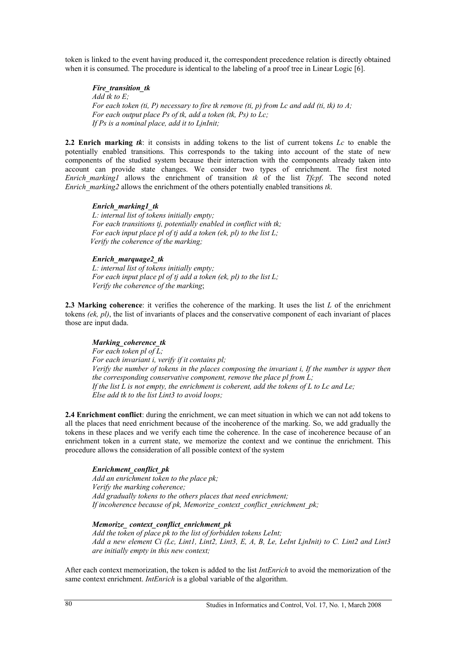token is linked to the event having produced it, the correspondent precedence relation is directly obtained when it is consumed. The procedure is identical to the labeling of a proof tree in Linear Logic [6].

*Fire\_transition\_tk Add tk to E; For each token (ti, P) necessary to fire tk remove (ti, p) from Lc and add (ti, tk) to A; For each output place Ps of tk, add a token (tk, Ps) to Lc; If Ps is a nominal place, add it to LjnInit;* 

**2.2 Enrich marking** *tk*: it consists in adding tokens to the list of current tokens *Lc* to enable the potentially enabled transitions. This corresponds to the taking into account of the state of new components of the studied system because their interaction with the components already taken into account can provide state changes. We consider two types of enrichment. The first noted *Enrich\_marking1* allows the enrichment of transition *tk* of the list *Tfcpf*. The second noted *Enrich marking2* allows the enrichment of the others potentially enabled transitions *tk*.

#### *Enrich\_marking1\_tk*

*L: internal list of tokens initially empty; For each transitions tj, potentially enabled in conflict with tk; For each input place pl of tj add a token (ek, pl) to the list L; Verify the coherence of the marking;*

#### *Enrich\_marquage2\_tk*

*L: internal list of tokens initially empty; For each input place pl of tj add a token (ek, pl) to the list L; Verify the coherence of the marking*;

**2.3 Marking coherence**: it verifies the coherence of the marking. It uses the list *L* of the enrichment tokens *(ek, pl)*, the list of invariants of places and the conservative component of each invariant of places those are input dada.

#### *Marking\_coherence\_tk*

*For each token pl of L; For each invariant i, verify if it contains pl; Verify the number of tokens in the places composing the invariant i, If the number is upper then the corresponding conservative component, remove the place pl from L; If the list L is not empty, the enrichment is coherent, add the tokens of L to Lc and Le; Else add tk to the list Lint3 to avoid loops;* 

**2.4 Enrichment conflict**: during the enrichment, we can meet situation in which we can not add tokens to all the places that need enrichment because of the incoherence of the marking. So, we add gradually the tokens in these places and we verify each time the coherence. In the case of incoherence because of an enrichment token in a current state, we memorize the context and we continue the enrichment. This procedure allows the consideration of all possible context of the system

#### *Enrichment\_conflict\_pk*

*Add an enrichment token to the place pk; Verify the marking coherence; Add gradually tokens to the others places that need enrichment; If incoherence because of pk, Memorize\_context\_conflict\_enrichment\_pk;* 

*Memorize\_ context\_conflict\_enrichment\_pk Add the token of place pk to the list of forbidden tokens LeInt;* 

*Add a new element Ci (Lc, Lint1, Lint2, Lint3, E, A, B, Le, LeInt LjnInit) to C. Lint2 and Lint3 are initially empty in this new context;* 

After each context memorization, the token is added to the list *IntEnrich* to avoid the memorization of the same context enrichment. *IntEnrich* is a global variable of the algorithm.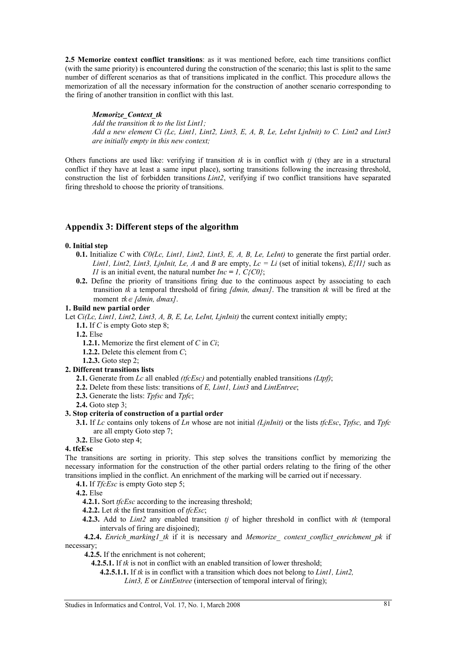**2.5 Memorize context conflict transitions**: as it was mentioned before, each time transitions conflict (with the same priority) is encountered during the construction of the scenario; this last is split to the same number of different scenarios as that of transitions implicated in the conflict. This procedure allows the memorization of all the necessary information for the construction of another scenario corresponding to the firing of another transition in conflict with this last.

*Memorize\_Context\_tk* 

*Add the transition tk to the list Lint1; Add a new element Ci (Lc, Lint1, Lint2, Lint3, E, A, B, Le, LeInt LjnInit) to C. Lint2 and Lint3 are initially empty in this new context;* 

Others functions are used like: verifying if transition *tk* is in conflict with *tj* (they are in a structural conflict if they have at least a same input place), sorting transitions following the increasing threshold, construction the list of forbidden transitions *Lint2*, verifying if two conflict transitions have separated firing threshold to choose the priority of transitions.

## **Appendix 3: Different steps of the algorithm**

#### **0. Initial step**

- **0.1.** Initialize *C* with *C0(Lc, Lint1, Lint2, Lint3, E, A, B, Le, LeInt)* to generate the first partial order. *Lint1, Lint2, Lint3, LjnInit, Le, A* and *B* are empty,  $Lc = Li$  (set of initial tokens),  $E\{II\}$  such as *I1* is an initial event, the natural number  $Inc = 1$ ,  $C \setminus CO$ ;
- **0.2.** Define the priority of transitions firing due to the continuous aspect by associating to each transition *tk* a temporal threshold of firing *[dmin, dmax]*. The transition *tk* will be fired at the moment  $rk \in [dmin, dmax]$ .

#### **1. Build new partial order**

Let *Ci(Lc, Lint1, Lint2, Lint3, A, B, E, Le, LeInt, LjnInit)* the current context initially empty;

**1.1.** If *C* is empty Goto step 8;

**1.2.** Else

- **1.2.1.** Memorize the first element of *C* in *Ci*;
- **1.2.2.** Delete this element from *C*;
- **1.2.3.** Goto step 2;

#### **2. Different transitions lists**

- **2.1.** Generate from *Lc* all enabled *(tfcEsc)* and potentially enabled transitions *(Ltpf)*;
- **2.2.** Delete from these lists: transitions of *E, Lint1, Lint3* and *LintEntree*;
- **2.3.** Generate the lists: *Tpfsc* and *Tpfc*;
- **2.4.** Goto step 3;

### **3. Stop criteria of construction of a partial order**

**3.1.** If *Lc* contains only tokens of *Ln* whose are not initial *(LjnInit)* or the lists *tfcEsc*, *Tpfsc,* and *Tpfc* are all empty Goto step 7;

**3.2.** Else Goto step 4;

#### **4. tfcEsc**

The transitions are sorting in priority. This step solves the transitions conflict by memorizing the necessary information for the construction of the other partial orders relating to the firing of the other transitions implied in the conflict. An enrichment of the marking will be carried out if necessary.

**4.1.** If *TfcEsc* is empty Goto step 5;

**4.2.** Else

- **4.2.1.** Sort *tfcEsc* according to the increasing threshold;
- **4.2.2.** Let *tk* the first transition of *tfcEsc*;
- **4.2.3.** Add to *Lint2* any enabled transition *tj* of higher threshold in conflict with *tk* (temporal intervals of firing are disjoined);

**4.2.4.** *Enrich marking1 tk* if it is necessary and *Memorize* context conflict enrichment pk if necessary;

**4.2.5.** If the enrichment is not coherent;

**4.2.5.1.** If *tk* is not in conflict with an enabled transition of lower threshold;

**4.2.5.1.1.** If *tk* is in conflict with a transition which does not belong to *Lint1, Lint2,* 

*Lint3, E* or *LintEntree* (intersection of temporal interval of firing);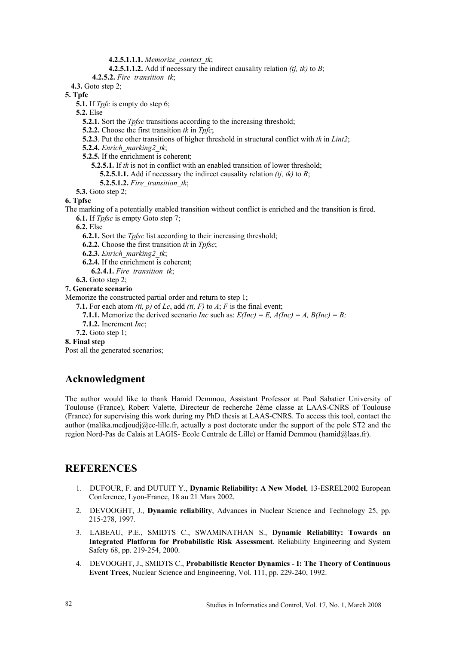**4.2.5.1.1.1.** *Memorize\_context\_tk*;

**4.2.5.1.1.2.** Add if necessary the indirect causality relation *(tj, tk)* to *B*;

**4.2.5.2.** *Fire\_transition\_tk*;

**4.3.** Goto step 2;

**5. Tpfc** 

**5.1.** If *Tpfc* is empty do step 6;

**5.2.** Else

- **5.2.1.** Sort the *Tpfsc* transitions according to the increasing threshold;
- **5.2.2.** Choose the first transition *tk* in *Tpfc*;
- **5.2.3**. Put the other transitions of higher threshold in structural conflict with *tk* in *Lint2*;
- **5.2.4.** *Enrich\_marking2\_tk*;
- **5.2.5.** If the enrichment is coherent;
	- **5.2.5.1.** If *tk* is not in conflict with an enabled transition of lower threshold;
		- **5.2.5.1.1.** Add if necessary the indirect causality relation *(tj, tk)* to *B*;
		- **5.2.5.1.2.** *Fire\_transition\_tk*;
- **5.3.** Goto step 2;

### **6. Tpfsc**

- The marking of a potentially enabled transition without conflict is enriched and the transition is fired.
	- **6.1.** If *Tpfsc* is empty Goto step 7;

**6.2.** Else

- **6.2.1.** Sort the *Tpfsc* list according to their increasing threshold;
- **6.2.2.** Choose the first transition *tk* in *Tpfsc*;
- **6.2.3.** *Enrich\_marking2\_tk*;
- **6.2.4.** If the enrichment is coherent;
	- **6.2.4.1.** *Fire\_transition\_tk*;

### **6.3.** Goto step 2;

**7. Generate scenario** 

Memorize the constructed partial order and return to step 1;

- **7.1.** For each atom *(ti, p)* of *Lc*, add *(ti, F)* to *A*; *F* is the final event;
	- **7.1.1.** Memorize the derived scenario *Inc* such as:  $E(Inc) = E$ ,  $A(Inc) = A$ ,  $B(Inc) = B$ ;
- **7.1.2.** Increment *Inc*;
- **7.2.** Goto step 1;

### **8. Final step**

Post all the generated scenarios;

## **Acknowledgment**

The author would like to thank Hamid Demmou, Assistant Professor at Paul Sabatier University of Toulouse (France), Robert Valette, Directeur de recherche 2ème classe at LAAS-CNRS of Toulouse (France) for supervising this work during my PhD thesis at LAAS-CNRS. To access this tool, contact the author (malika.medjoudj $@ec$ -lille.fr, actually a post doctorate under the support of the pole ST2 and the region Nord-Pas de Calais at LAGIS- Ecole Centrale de Lille) or Hamid Demmou (hamid@laas.fr).

## **REFERENCES**

- 1. DUFOUR, F. and DUTUIT Y., **Dynamic Reliability: A New Model**, 13-ESREL2002 European Conference, Lyon-France, 18 au 21 Mars 2002.
- 2. DEVOOGHT, J., **Dynamic reliability**, Advances in Nuclear Science and Technology 25, pp. 215-278, 1997.
- 3. LABEAU, P.E., SMIDTS C., SWAMINATHAN S., **Dynamic Reliability: Towards an Integrated Platform for Probabilistic Risk Assessment**. Reliability Engineering and System Safety 68, pp. 219-254, 2000.
- 4. DEVOOGHT, J., SMIDTS C., **Probabilistic Reactor Dynamics I: The Theory of Continuous Event Trees**, Nuclear Science and Engineering, Vol. 111, pp. 229-240, 1992.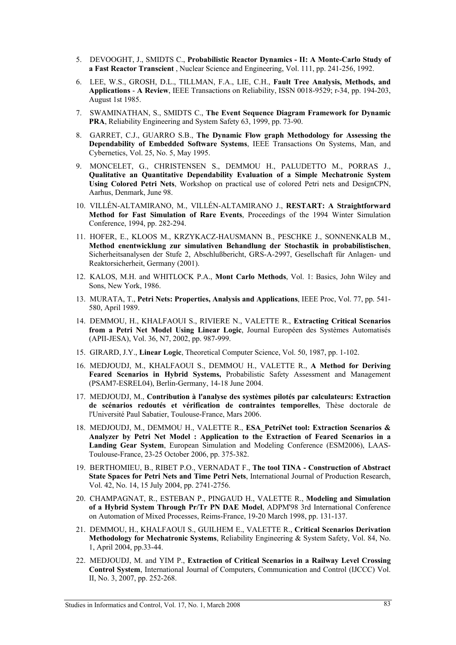- 5. DEVOOGHT, J., SMIDTS C., **Probabilistic Reactor Dynamics II: A Monte-Carlo Study of a Fast Reactor Transcient** , Nuclear Science and Engineering, Vol. 111, pp. 241-256, 1992.
- 6. LEE, W.S., GROSH, D.L., TILLMAN, F.A., LIE, C.H., **Fault Tree Analysis, Methods, and Applications** - **A Review**, IEEE Transactions on Reliability, ISSN 0018-9529; r-34, pp. 194-203, August 1st 1985.
- 7. SWAMINATHAN, S., SMIDTS C., **The Event Sequence Diagram Framework for Dynamic PRA**, Reliability Engineering and System Safety 63, 1999, pp. 73-90.
- 8. GARRET, C.J., GUARRO S.B., **The Dynamic Flow graph Methodology for Assessing the Dependability of Embedded Software Systems**, IEEE Transactions On Systems, Man, and Cybernetics, Vol. 25, No. 5, May 1995.
- 9. MONCELET, G., CHRISTENSEN S., DEMMOU H., PALUDETTO M., PORRAS J., **Qualitative an Quantitative Dependability Evaluation of a Simple Mechatronic System Using Colored Petri Nets**, Workshop on practical use of colored Petri nets and DesignCPN, Aarhus, Denmark, June 98.
- 10. VILLÉN-ALTAMIRANO, M., VILLÉN-ALTAMIRANO J., **RESTART: A Straightforward Method for Fast Simulation of Rare Events**, Proceedings of the 1994 Winter Simulation Conference, 1994, pp. 282-294.
- 11. HOFER, E., KLOOS M., KRZYKACZ-HAUSMANN B., PESCHKE J., SONNENKALB M., **Method enentwicklung zur simulativen Behandlung der Stochastik in probabilistischen**, Sicherheitsanalysen der Stufe 2, Abschlußbericht, GRS-A-2997, Gesellschaft für Anlagen- und Reaktorsicherheit, Germany (2001).
- 12. KALOS, M.H. and WHITLOCK P.A., **Mont Carlo Methods**, Vol. 1: Basics, John Wiley and Sons, New York, 1986.
- 13. MURATA, T., **Petri Nets: Properties, Analysis and Applications**, IEEE Proc, Vol. 77, pp. 541- 580, April 1989.
- 14. DEMMOU, H., KHALFAOUI S., RIVIERE N., VALETTE R., **Extracting Critical Scenarios from a Petri Net Model Using Linear Logic**, Journal Européen des Systèmes Automatisés (APII-JESA), Vol. 36, N7, 2002, pp. 987-999.
- 15. GIRARD, J.Y., **Linear Logic**, Theoretical Computer Science, Vol. 50, 1987, pp. 1-102.
- 16. MEDJOUDJ, M., KHALFAOUI S., DEMMOU H., VALETTE R., **A Method for Deriving Feared Scenarios in Hybrid Systems,** Probabilistic Safety Assessment and Management (PSAM7-ESREL04), Berlin-Germany, 14-18 June 2004.
- 17. MEDJOUDJ, M., **Contribution à l'analyse des systèmes pilotés par calculateurs: Extraction de scénarios redoutés et vérification de contraintes temporelles**, Thèse doctorale de l'Université Paul Sabatier, Toulouse-France, Mars 2006.
- 18. MEDJOUDJ, M., DEMMOU H., VALETTE R., **ESA\_PetriNet tool: Extraction Scenarios & Analyzer by Petri Net Model : Application to the Extraction of Feared Scenarios in a Landing Gear System**, European Simulation and Modeling Conference (ESM2006), LAAS-Toulouse-France, 23-25 October 2006, pp. 375-382.
- 19. BERTHOMIEU, B., RIBET P.O., VERNADAT F., **The tool TINA Construction of Abstract State Spaces for Petri Nets and Time Petri Nets**, International Journal of Production Research, Vol. 42, No. 14, 15 July 2004, pp. 2741-2756.
- 20. CHAMPAGNAT, R., ESTEBAN P., PINGAUD H., VALETTE R., **Modeling and Simulation of a Hybrid System Through Pr/Tr PN DAE Model**, ADPM'98 3rd International Conference on Automation of Mixed Processes, Reims-France, 19-20 March 1998, pp. 131-137.
- 21. DEMMOU, H., KHALFAOUI S., GUILHEM E., VALETTE R., **Critical Scenarios Derivation Methodology for Mechatronic Systems**, Reliability Engineering & System Safety, Vol. 84, No. 1, April 2004, pp.33-44.
- 22. MEDJOUDJ, M. and YIM P., **Extraction of Critical Scenarios in a Railway Level Crossing Control System**, International Journal of Computers, Communication and Control (IJCCC) Vol. II, No. 3, 2007, pp. 252-268.